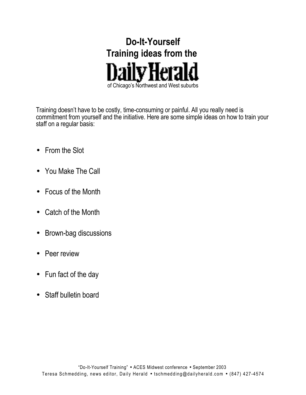

Training doesn't have to be costly, time-consuming or painful. All you really need is commitment from yourself and the initiative. Here are some simple ideas on how to train your staff on a regular basis:

- From the Slot
- You Make The Call
- Focus of the Month
- Catch of the Month
- Brown-bag discussions
- Peer review
- Fun fact of the day
- Staff bulletin board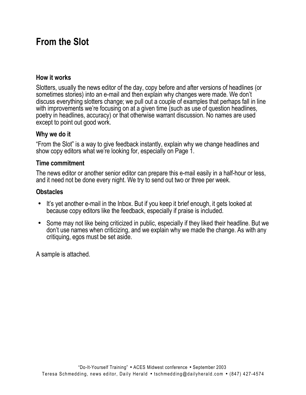## **From the Slot**

#### **How it works**

Slotters, usually the news editor of the day, copy before and after versions of headlines (or sometimes stories) into an e-mail and then explain why changes were made. We don't discuss everything slotters change; we pull out a couple of examples that perhaps fall in line with improvements we're focusing on at a given time (such as use of question headlines, poetry in headlines, accuracy) or that otherwise warrant discussion. No names are used except to point out good work.

#### **Why we do it**

"From the Slot" is a way to give feedback instantly, explain why we change headlines and show copy editors what we're looking for, especially on Page 1.

#### **Time commitment**

The news editor or another senior editor can prepare this e-mail easily in a half-hour or less, and it need not be done every night. We try to send out two or three per week.

### **Obstacles**

- It's yet another e-mail in the Inbox. But if you keep it brief enough, it gets looked at because copy editors like the feedback, especially if praise is included.
- Some may not like being criticized in public, especially if they liked their headline. But we don't use names when criticizing, and we explain why we made the change. As with any critiquing, egos must be set aside.

A sample is attached.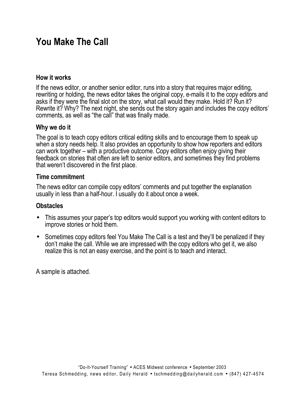# **You Make The Call**

#### **How it works**

If the news editor, or another senior editor, runs into a story that requires major editing, rewriting or holding, the news editor takes the original copy, e-mails it to the copy editors and asks if they were the final slot on the story, what call would they make. Hold it? Run it? Rewrite it? Why? The next night, she sends out the story again and includes the copy editors' comments, as well as "the call" that was finally made.

#### **Why we do it**

The goal is to teach copy editors critical editing skills and to encourage them to speak up when a story needs help. It also provides an opportunity to show how reporters and editors can work together – with a productive outcome. Copy editors often enjoy giving their feedback on stories that often are left to senior editors, and sometimes they find problems that weren't discovered in the first place.

#### **Time commitment**

The news editor can compile copy editors' comments and put together the explanation usually in less than a half-hour. I usually do it about once a week.

#### **Obstacles**

- This assumes your paper's top editors would support you working with content editors to improve stories or hold them.
- Sometimes copy editors feel You Make The Call is a test and they'll be penalized if they don't make the call. While we are impressed with the copy editors who get it, we also realize this is not an easy exercise, and the point is to teach and interact.

A sample is attached.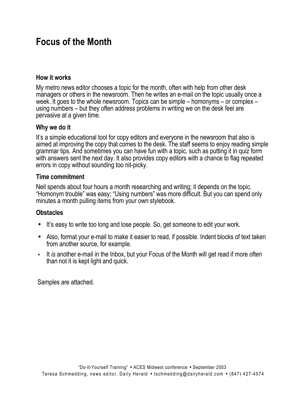# **Focus of the Month**

### **How it works**

My metro news editor chooses a topic for the month, often with help from other desk managers or others in the newsroom. Then he writes an e-mail on the topic usually once a week. It goes to the whole newsroom. Topics can be simple – homonyms – or complex – using numbers – but they often address problems in writing we on the desk feel are pervasive at a given time.

### **Why we do it**

It's a simple educational tool for copy editors and everyone in the newsroom that also is aimed at improving the copy that comes to the desk. The staff seems to enjoy reading simple grammar tips. And sometimes you can have fun with a topic, such as putting it in quiz form with answers sent the next day. It also provides copy editors with a chance to flag repeated errors in copy without sounding too nit-picky.

#### **Time commitment**

Neil spends about four hours a month researching and writing; it depends on the topic. "Homonym trouble" was easy; "Using numbers" was more difficult. But you can spend only minutes a month pulling items from your own stylebook.

### **Obstacles**

- It's easy to write too long and lose people. So, get someone to edit your work.
- Also, format your e-mail to make it easier to read, if possible. Indent blocks of text taken from another source, for example.
- It *is* another e-mail in the Inbox, but your Focus of the Month will get read if more often than not it is kept light and quick.

Samples are attached.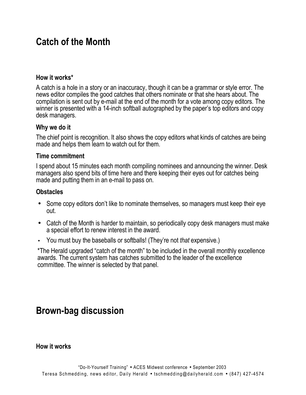## **Catch of the Month**

### **How it works\***

A catch is a hole in a story or an inaccuracy, though it can be a grammar or style error. The news editor compiles the good catches that others nominate or that she hears about. The compilation is sent out by e-mail at the end of the month for a vote among copy editors. The winner is presented with a 14-inch softball autographed by the paper's top editors and copy desk managers.

### **Why we do it**

The chief point is recognition. It also shows the copy editors what kinds of catches are being made and helps them learn to watch out for them.

#### **Time commitment**

I spend about 15 minutes each month compiling nominees and announcing the winner. Desk managers also spend bits of time here and there keeping their eyes out for catches being made and putting them in an e-mail to pass on.

### **Obstacles**

- Some copy editors don't like to nominate themselves, so managers must keep their eye out.
- Catch of the Month is harder to maintain, so periodically copy desk managers must make a special effort to renew interest in the award.
- You must buy the baseballs or softballs! (They're not *that* expensive.)

\*The Herald upgraded "catch of the month" to be included in the overall monthly excellence awards. The current system has catches submitted to the leader of the excellence committee. The winner is selected by that panel.

### **Brown-bag discussion**

**How it works**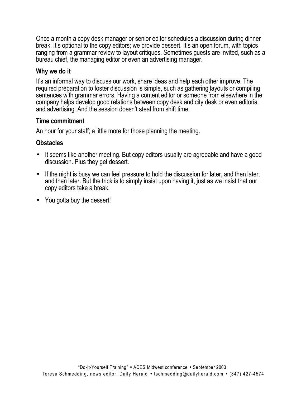Once a month a copy desk manager or senior editor schedules a discussion during dinner break. It's optional to the copy editors; we provide dessert. It's an open forum, with topics ranging from a grammar review to layout critiques. Sometimes guests are invited, such as a bureau chief, the managing editor or even an advertising manager.

#### **Why we do it**

It's an informal way to discuss our work, share ideas and help each other improve. The required preparation to foster discussion is simple, such as gathering layouts or compiling sentences with grammar errors. Having a content editor or someone from elsewhere in the company helps develop good relations between copy desk and city desk or even editorial and advertising. And the session doesn't steal from shift time.

#### **Time commitment**

An hour for your staff; a little more for those planning the meeting.

### **Obstacles**

- It seems like another meeting. But copy editors usually are agreeable and have a good discussion. Plus they get dessert.
- If the night is busy we can feel pressure to hold the discussion for later, and then later, and then later. But the trick is to simply insist upon having it, just as we insist that our copy editors take a break.
- You gotta buy the dessert!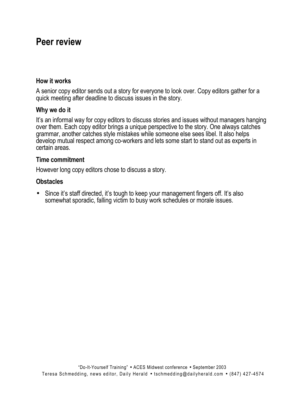### **Peer review**

#### **How it works**

A senior copy editor sends out a story for everyone to look over. Copy editors gather for a quick meeting after deadline to discuss issues in the story.

#### **Why we do it**

It's an informal way for copy editors to discuss stories and issues without managers hanging over them. Each copy editor brings a unique perspective to the story. One always catches grammar, another catches style mistakes while someone else sees libel. It also helps develop mutual respect among co-workers and lets some start to stand out as experts in certain areas.

#### **Time commitment**

However long copy editors chose to discuss a story.

#### **Obstacles**

• Since it's staff directed, it's tough to keep your management fingers off. It's also somewhat sporadic, falling victim to busy work schedules or morale issues.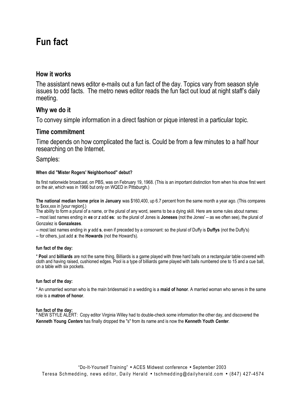# **Fun fact**

#### **How it works**

The assistant news editor e-mails out a fun fact of the day. Topics vary from season style issues to odd facts. The metro news editor reads the fun fact out loud at night staff's daily meeting.

#### **Why we do it**

To convey simple information in a direct fashion or pique interest in a particular topic.

#### **Time commitment**

Time depends on how complicated the fact is. Could be from a few minutes to a half hour researching on the Internet.

Samples:

#### **When did "Mister Rogers' Neighborhood" debut?**

Its first nationwide broadcast, on PBS, was on February 19, 1968. (This is an important distinction from when his show first went on the air, which was in 1966 but only on WQED in Pittsburgh.)

**The national median home price in January** was \$160,400, up 6.7 percent from the same month a year ago. (This compares to \$xxx,xxx in [your region].)

The ability to form a plural of a name, or the plural of any word, seems to be a dying skill. Here are some rules about names: -- most last names ending in *es* or *z* add **es**: so the plural of Jones is **Joneses** (not the Jones' -- as we often see), the plural of Gonzalez is **Gonzalezes**.

-- most last names ending in *y* add **s**, even if preceded by a consonant: so the plural of Duffy is **Duffys** (not the Duffy's)

-- for others, just add *s*: the **Howards** (not the Howard's).

#### **fun fact of the day:**

\* **Pool** and **billiards** are not the same thing. Billiards is a game played with three hard balls on a rectangular table covered with cloth and having raised, cushioned edges. Pool is a type of billiards game played with balls numbered one to 15 and a cue ball, on a table with six pockets.

#### **fun fact of the day:**

\* An unmarried woman who is the main bridesmaid in a wedding is a **maid of honor**. A married woman who serves in the same role is a **matron of honor**.

#### **fun fact of the day:**

\* NEW STYLE ALERT: Copy editor Virginia Willey had to double-check some information the other day, and discovered the **Kenneth Young** *Centers* has finally dropped the "s" from its name and is now the **Kenneth Youth** *Center*.